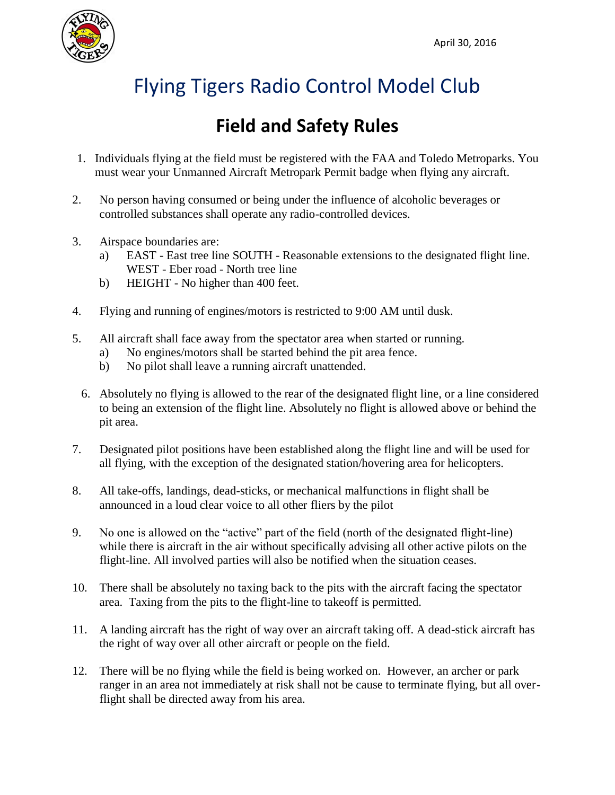

## Flying Tigers Radio Control Model Club

## **Field and Safety Rules**

- 1. Individuals flying at the field must be registered with the FAA and Toledo Metroparks. You must wear your Unmanned Aircraft Metropark Permit badge when flying any aircraft.
- 2. No person having consumed or being under the influence of alcoholic beverages or controlled substances shall operate any radio-controlled devices.
- 3. Airspace boundaries are:
	- a) EAST East tree line SOUTH Reasonable extensions to the designated flight line. WEST - Eber road - North tree line
	- b) HEIGHT No higher than 400 feet.
- 4. Flying and running of engines/motors is restricted to 9:00 AM until dusk.
- 5. All aircraft shall face away from the spectator area when started or running.
	- a) No engines/motors shall be started behind the pit area fence.
	- b) No pilot shall leave a running aircraft unattended.
	- 6. Absolutely no flying is allowed to the rear of the designated flight line, or a line considered to being an extension of the flight line. Absolutely no flight is allowed above or behind the pit area.
- 7. Designated pilot positions have been established along the flight line and will be used for all flying, with the exception of the designated station/hovering area for helicopters.
- 8. All take-offs, landings, dead-sticks, or mechanical malfunctions in flight shall be announced in a loud clear voice to all other fliers by the pilot
- 9. No one is allowed on the "active" part of the field (north of the designated flight-line) while there is aircraft in the air without specifically advising all other active pilots on the flight-line. All involved parties will also be notified when the situation ceases.
- 10. There shall be absolutely no taxing back to the pits with the aircraft facing the spectator area. Taxing from the pits to the flight-line to takeoff is permitted.
- 11. A landing aircraft has the right of way over an aircraft taking off. A dead-stick aircraft has the right of way over all other aircraft or people on the field.
- 12. There will be no flying while the field is being worked on. However, an archer or park ranger in an area not immediately at risk shall not be cause to terminate flying, but all overflight shall be directed away from his area.